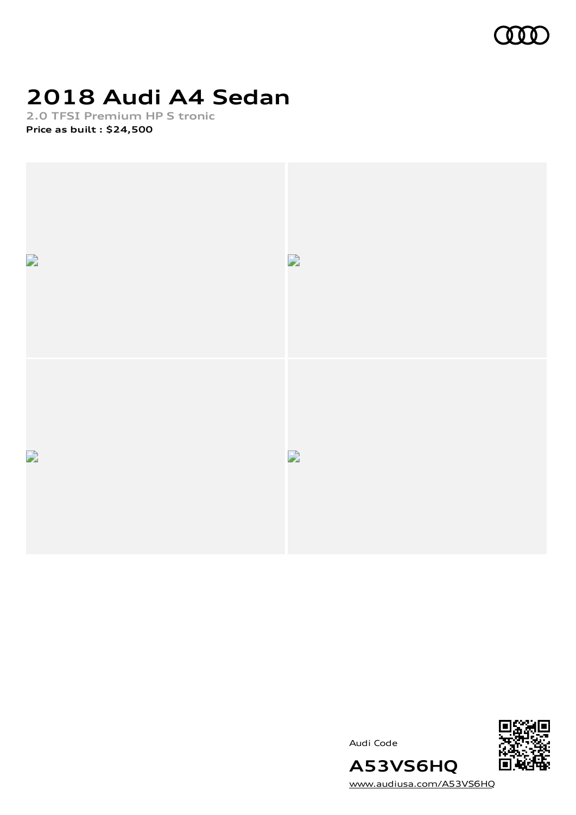

# **2018 Audi A4 Sedan**

**2.0 TFSI Premium HP S tronic Price as built [:](#page-10-0) \$24,500**



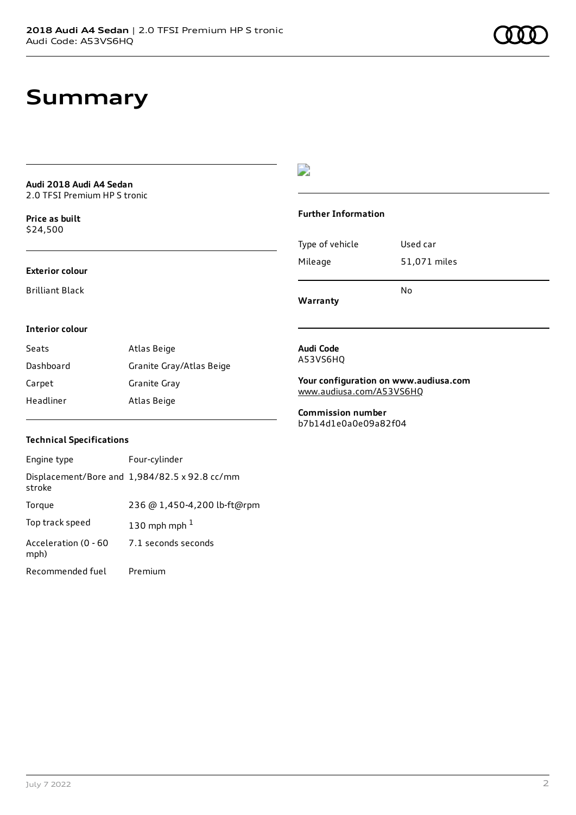# **Summary**

**Audi 2018 Audi A4 Sedan** 2.0 TFSI Premium HP S tronic

**Price as buil[t](#page-10-0)** \$24,500

#### **Exterior colour**

Brilliant Black

# $\overline{\phantom{a}}$

#### **Further Information**

|                 | N٥           |
|-----------------|--------------|
| Mileage         | 51,071 miles |
| Type of vehicle | Used car     |

**Warranty**

#### **Interior colour**

| Seats     | Atlas Beige              |
|-----------|--------------------------|
| Dashboard | Granite Gray/Atlas Beige |
| Carpet    | Granite Gray             |
| Headliner | Atlas Beige              |

#### **Audi Code** A53VS6HQ

**Your configuration on www.audiusa.com** [www.audiusa.com/A53VS6HQ](https://www.audiusa.com/A53VS6HQ)

**Commission number** b7b14d1e0a0e09a82f04

### **Technical Specifications**

| Engine type                  | Four-cylinder                                 |
|------------------------------|-----------------------------------------------|
| stroke                       | Displacement/Bore and 1,984/82.5 x 92.8 cc/mm |
| Torque                       | 236 @ 1,450-4,200 lb-ft@rpm                   |
| Top track speed              | 130 mph mph $1$                               |
| Acceleration (0 - 60<br>mph) | 7.1 seconds seconds                           |
| Recommended fuel             | Premium                                       |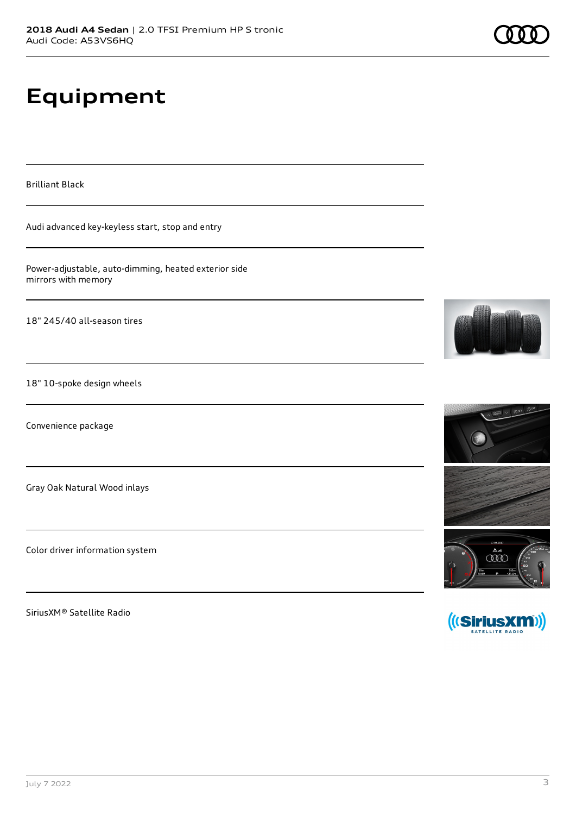# **Equipment**

Brilliant Black

Audi advanced key-keyless start, stop and entry

Power-adjustable, auto-dimming, heated exterior side mirrors with memory

18" 245/40 all-season tires

18" 10-spoke design wheels

Convenience package

Gray Oak Natural Wood inlays

Color driver information system

SiriusXM® Satellite Radio







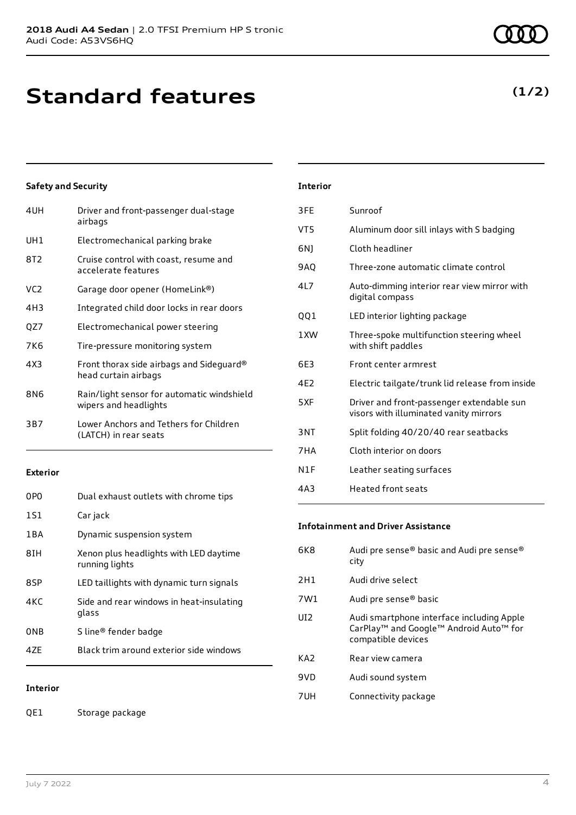| 4UH | Driver and front-passenger dual-stage<br>airbags                    |
|-----|---------------------------------------------------------------------|
| UH1 | Electromechanical parking brake                                     |
| 8T2 | Cruise control with coast, resume and<br>accelerate features        |
| VC2 | Garage door opener (HomeLink®)                                      |
| 4H3 | Integrated child door locks in rear doors                           |
| QZ7 | Electromechanical power steering                                    |
| 7K6 | Tire-pressure monitoring system                                     |
| 4X3 | Front thorax side airbags and Sideguard®<br>head curtain airbags    |
| 8N6 | Rain/light sensor for automatic windshield<br>wipers and headlights |
| 3B7 | Lower Anchors and Tethers for Children<br>(LATCH) in rear seats     |
|     |                                                                     |

### **Exterior**

| 0PO   | Dual exhaust outlets with chrome tips                    |
|-------|----------------------------------------------------------|
| 1S1   | Car jack                                                 |
| 1 B A | Dynamic suspension system                                |
| 8TH   | Xenon plus headlights with LED daytime<br>running lights |
| 8SP   | LED taillights with dynamic turn signals                 |
| 4KC   | Side and rear windows in heat-insulating<br>glass        |
| ONB   | S line® fender badge                                     |
| 47F   | Black trim around exterior side windows                  |
|       |                                                          |

# **Interior**

QE1 Storage package

# **Interior** 3FE Sunroof

| VT5             | Aluminum door sill inlays with S badging                                            |
|-----------------|-------------------------------------------------------------------------------------|
| 6N)             | Cloth headliner                                                                     |
| 9AO             | Three-zone automatic climate control                                                |
| 41 7            | Auto-dimming interior rear view mirror with<br>digital compass                      |
| QQ1             | LED interior lighting package                                                       |
| 1 XW            | Three-spoke multifunction steering wheel<br>with shift paddles                      |
| 6E3             | Front center armrest                                                                |
| 4F <sub>2</sub> | Electric tailgate/trunk lid release from inside                                     |
| 5XF             | Driver and front-passenger extendable sun<br>visors with illuminated vanity mirrors |
| 3NT             | Split folding 40/20/40 rear seatbacks                                               |
| 7 H A           | Cloth interior on doors                                                             |
| N1F             | Leather seating surfaces                                                            |
| 4A3             | Heated front seats                                                                  |

### **Infotainment and Driver Assistance**

| 6K8             | Audi pre sense® basic and Audi pre sense®<br>city                                                                                             |
|-----------------|-----------------------------------------------------------------------------------------------------------------------------------------------|
| 2H1             | Audi drive select                                                                                                                             |
| 7W1             | Audi pre sense® basic                                                                                                                         |
| UI2             | Audi smartphone interface including Apple<br>CarPlay <sup>™</sup> and Google <sup>™</sup> Android Auto <sup>™</sup> for<br>compatible devices |
| KA <sub>2</sub> | Rear view camera                                                                                                                              |
| 9VD             | Audi sound system                                                                                                                             |
| 7UH             | Connectivity package                                                                                                                          |

# **(1/2)**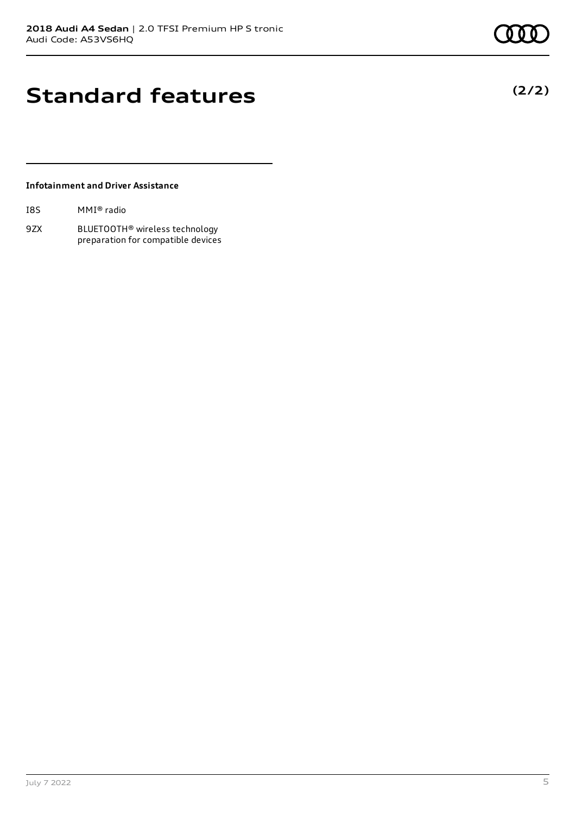**(2/2)**

# **Standard features**

### **Infotainment and Driver Assistance**

| I8S | MMI® radio |  |
|-----|------------|--|
|-----|------------|--|

9ZX BLUETOOTH® wireless technology preparation for compatible devices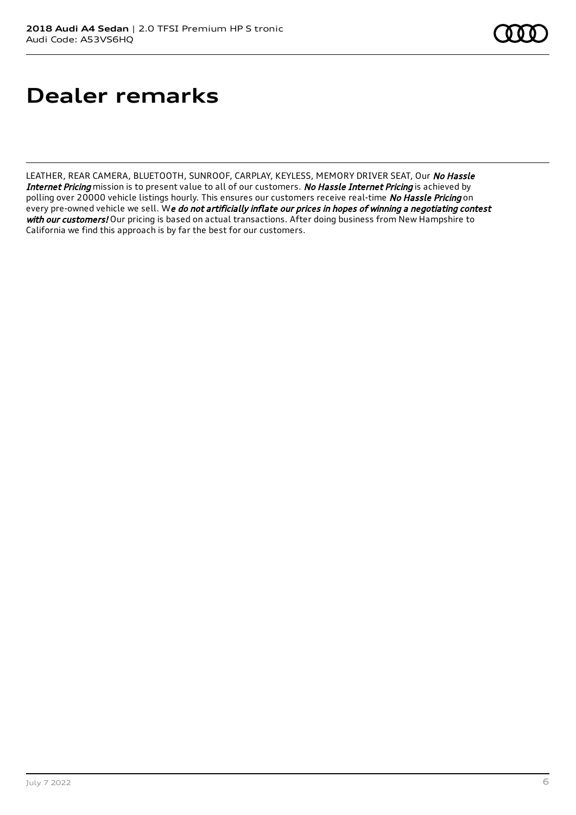# **Dealer remarks**

LEATHER, REAR CAMERA, BLUETOOTH, SUNROOF, CARPLAY, KEYLESS, MEMORY DRIVER SEAT, Our No Hassle Internet Pricing mission is to present value to all of our customers. No Hassle Internet Pricing is achieved by polling over 20000 vehicle listings hourly. This ensures our customers receive real-time No Hassle Pricing on every pre-owned vehicle we sell. We do not artificially inflate our prices in hopes of winning a negotiating contest with our customers! Our pricing is based on actual transactions. After doing business from New Hampshire to California we find this approach is by far the best for our customers.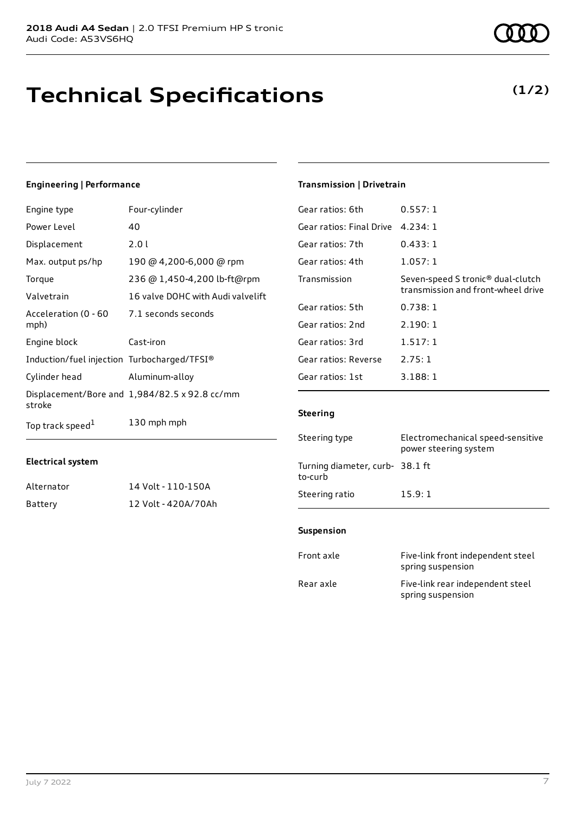# **Technical Specifications**

## **Engineering | Performance**

| Engine type                                 | Four-cylinder                                 |
|---------------------------------------------|-----------------------------------------------|
| Power Level                                 | 40                                            |
| Displacement                                | 2.01                                          |
| Max. output ps/hp                           | 190 @ 4,200-6,000 @ rpm                       |
| Torque                                      | 236 @ 1,450-4,200 lb-ft@rpm                   |
| Valvetrain                                  | 16 valve DOHC with Audi valvelift             |
| Acceleration (0 - 60<br>mph)                | 7.1 seconds seconds                           |
| Engine block                                | Cast-iron                                     |
| Induction/fuel injection Turbocharged/TFSI® |                                               |
| Cylinder head                               | Aluminum-alloy                                |
| stroke                                      | Displacement/Bore and 1,984/82.5 x 92.8 cc/mm |
| Top track speed <sup>1</sup>                | 130 mph mph                                   |

### **Transmission | Drivetrain**

| Gear ratios: 6th         | 0.557:1                                                                             |
|--------------------------|-------------------------------------------------------------------------------------|
| Gear ratios: Final Drive | 4.234:1                                                                             |
| Gear ratios: 7th         | 0.433:1                                                                             |
| Gear ratios: 4th         | 1.057:1                                                                             |
| Transmission             | Seven-speed S tronic <sup>®</sup> dual-clutch<br>transmission and front-wheel drive |
| Gear ratios: 5th         | 0.738:1                                                                             |
| Gear ratios: 2nd         | 2.190:1                                                                             |
| Gear ratios: 3rd         | 1.517:1                                                                             |
| Gear ratios: Reverse     | 2.75:1                                                                              |
| Gear ratios: 1st         | 3.188:1                                                                             |

### **Steering**

| Steering type                             | Electromechanical speed-sensitive<br>power steering system |
|-------------------------------------------|------------------------------------------------------------|
| Turning diameter, curb-38.1 ft<br>to-curb |                                                            |
| Steering ratio                            | 15.9:1                                                     |
|                                           |                                                            |

### **Suspension**

| Front axle | Five-link front independent steel<br>spring suspension |
|------------|--------------------------------------------------------|
| Rear axle  | Five-link rear independent steel<br>spring suspension  |

# **Electrical system**

| Alternator | 14 Volt - 110-150A  |
|------------|---------------------|
| Battery    | 12 Volt - 420A/70Ah |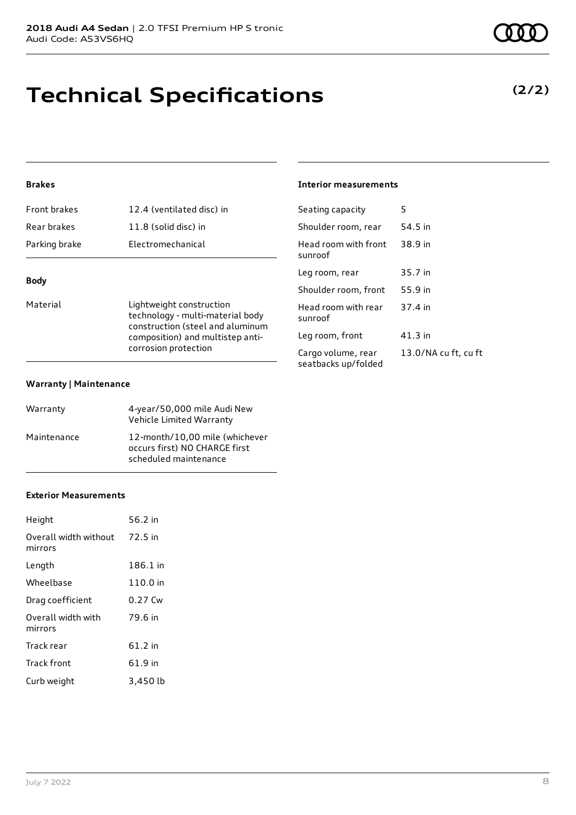# **Technical Specifications**

## **Brakes**

| <b>Front brakes</b> | 12.4 (ventilated disc) in |
|---------------------|---------------------------|
| Rear brakes         | 11.8 (solid disc) in      |
| Parking brake       | Electromechanical         |
|                     |                           |

## **Body**

Material **Material** Lightweight construction technology - multi-material body construction (steel and aluminum composition) and multistep anticorrosion protection

#### **Warranty | Maintenance**

| Warranty    | 4-year/50,000 mile Audi New<br>Vehicle Limited Warranty                                  |
|-------------|------------------------------------------------------------------------------------------|
| Maintenance | 12-month/10.00 mile (whichever<br>occurs first) NO CHARGE first<br>scheduled maintenance |

#### **Exterior Measurements**

| Height                           | 56.2 in  |
|----------------------------------|----------|
| Overall width without<br>mirrors | 72.5 in  |
| Length                           | 186.1 in |
| Wheelbase                        | 110.0 in |
| Drag coefficient                 | 0.27 Cw  |
| Overall width with<br>mirrors    | 79.6 in  |
| Track rear                       | 61.2 in  |
| <b>Track front</b>               | 61.9 in  |
| Curb weight                      | 3,450 lb |

### **Interior measurements**

| Seating capacity                          | 5                    |
|-------------------------------------------|----------------------|
| Shoulder room, rear                       | 54.5 in              |
| Head room with front<br>sunroof           | 38.9 in              |
| Leg room, rear                            | 35.7 in              |
| Shoulder room, front                      | 55.9 in              |
| Head room with rear<br>sunroof            | 37.4 in              |
| Leg room, front                           | 41.3 in              |
| Cargo volume, rear<br>seatbacks up/folded | 13.0/NA cu ft, cu ft |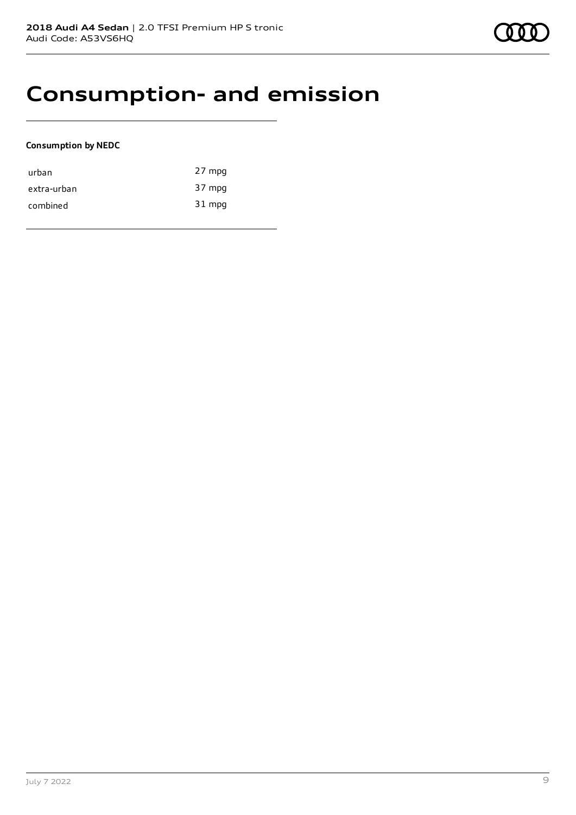# **Consumption- and emission**

### **Consumption by NEDC**

| urban       | 27 mpg |
|-------------|--------|
| extra-urban | 37 mpg |
| combined    | 31 mpg |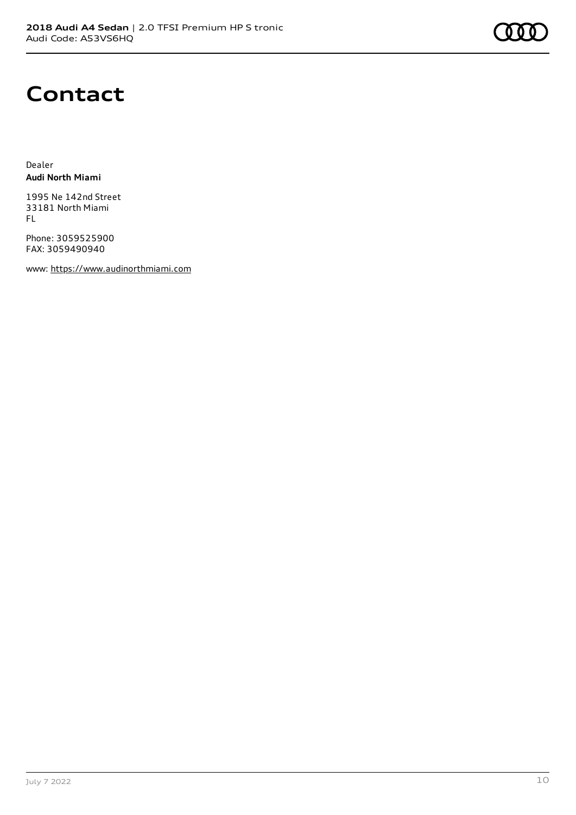# **Contact**

Dealer **Audi North Miami**

1995 Ne 142nd Street 33181 North Miami FL

Phone: 3059525900 FAX: 3059490940

www: [https://www.audinorthmiami.com](https://www.audinorthmiami.com/)